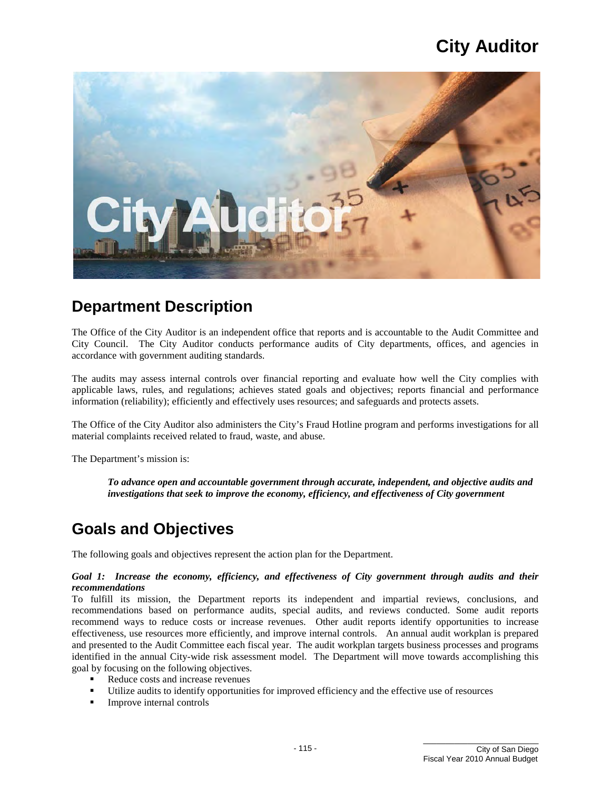

### **Department Description**

 The Office of the City Auditor is an independent office that reports and is accountable to the Audit Committee and City Council. The City Auditor conducts performance audits of City departments, offices, and agencies in accordance with government auditing standards.

accordance with government auditing standards.<br>The audits may assess internal controls over financial reporting and evaluate how well the City complies with applicable laws, rules, and regulations; achieves stated goals and objectives; reports financial and performance information (reliability); efficiently and effectively uses resources; and safeguards and protects assets.

 The Office of the City Auditor also administers the City's Fraud Hotline program and performs investigations for all material complaints received related to fraud, waste, and abuse. The Department's mission is:

*To advance open and accountable government through accurate, independent, and objective audits and investigations that seek to improve the economy, efficiency, and effectiveness of City government* 

## **Goals and Objectives**

The following goals and objectives represent the action plan for the Department.

#### *Goal 1: Increase the economy, efficiency, and effectiveness of City government through audits and their recommendations*

 recommendations based on performance audits, special audits, and reviews conducted. Some audit reports recommend ways to reduce costs or increase revenues. Other audit reports identify opportunities to increase effectiveness, use resources more efficiently, and improve internal controls. An annual audit workplan is prepared and presented to the Audit Committee each fiscal year. The audit workplan targets business processes and programs To fulfill its mission, the Department reports its independent and impartial reviews, conclusions, and identified in the annual City-wide risk assessment model. The Department will move towards accomplishing this goal by focusing on the following objectives.

- Reduce costs and increase revenues
- Utilize audits to identify opportunities for improved efficiency and the effective use of resources
- **Improve internal controls**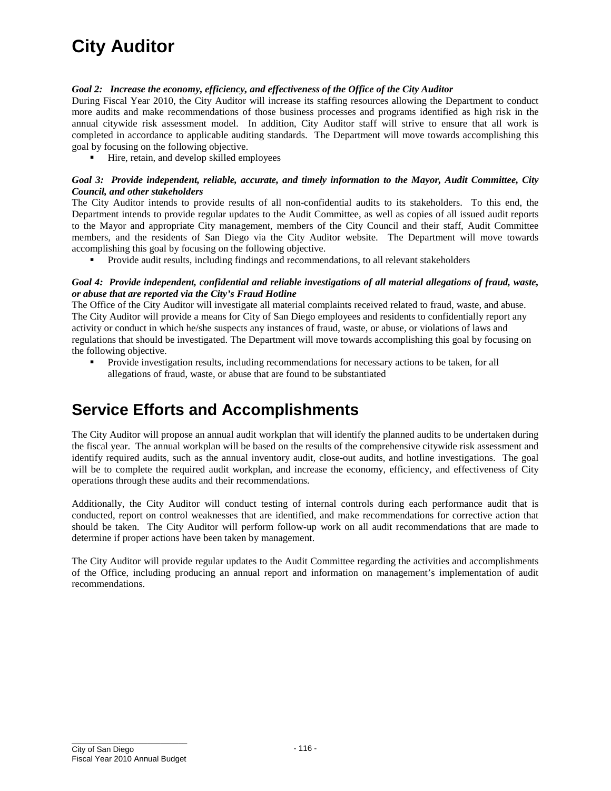#### *Goal 2: Increase the economy, efficiency, and effectiveness of the Office of the City Auditor*

 During Fiscal Year 2010, the City Auditor will increase its staffing resources allowing the Department to conduct annual citywide risk assessment model. In addition, City Auditor staff will strive to ensure that all work is completed in accordance to applicable auditing standards. The Department will move towards accomplishing this more audits and make recommendations of those business processes and programs identified as high risk in the goal by focusing on the following objective.

■ Hire, retain, and develop skilled employees

#### *Goal 3: Provide independent, reliable, accurate, and timely information to the Mayor, Audit Committee, City Council, and other stakeholders*

 members, and the residents of San Diego via the City Auditor website. The Department will move towards The City Auditor intends to provide results of all non-confidential audits to its stakeholders. To this end, the Department intends to provide regular updates to the Audit Committee, as well as copies of all issued audit reports to the Mayor and appropriate City management, members of the City Council and their staff, Audit Committee accomplishing this goal by focusing on the following objective.

Provide audit results, including findings and recommendations, to all relevant stakeholders

#### *Goal 4: Provide independent, confidential and reliable investigations of all material allegations of fraud, waste, or abuse that are reported via the City's Fraud Hotline*

 The Office of the City Auditor will investigate all material complaints received related to fraud, waste, and abuse. activity or conduct in which he/she suspects any instances of fraud, waste, or abuse, or violations of laws and regulations that should be investigated. The Department will move towards accomplishing this goal by focusing on The City Auditor will provide a means for City of San Diego employees and residents to confidentially report any the following objective.

**Provide investigation results, including recommendations for necessary actions to be taken, for all** allegations of fraud, waste, or abuse that are found to be substantiated

## **Service Efforts and Accomplishments**

 The City Auditor will propose an annual audit workplan that will identify the planned audits to be undertaken during the fiscal year. The annual workplan will be based on the results of the comprehensive citywide risk assessment and will be to complete the required audit workplan, and increase the economy, efficiency, and effectiveness of City identify required audits, such as the annual inventory audit, close-out audits, and hotline investigations. The goal operations through these audits and their recommendations.

 Additionally, the City Auditor will conduct testing of internal controls during each performance audit that is determine if proper actions have been taken by management. conducted, report on control weaknesses that are identified, and make recommendations for corrective action that should be taken. The City Auditor will perform follow-up work on all audit recommendations that are made to

determine if proper actions have been taken by management.<br>The City Auditor will provide regular updates to the Audit Committee regarding the activities and accomplishments of the Office, including producing an annual report and information on management's implementation of audit recommendations.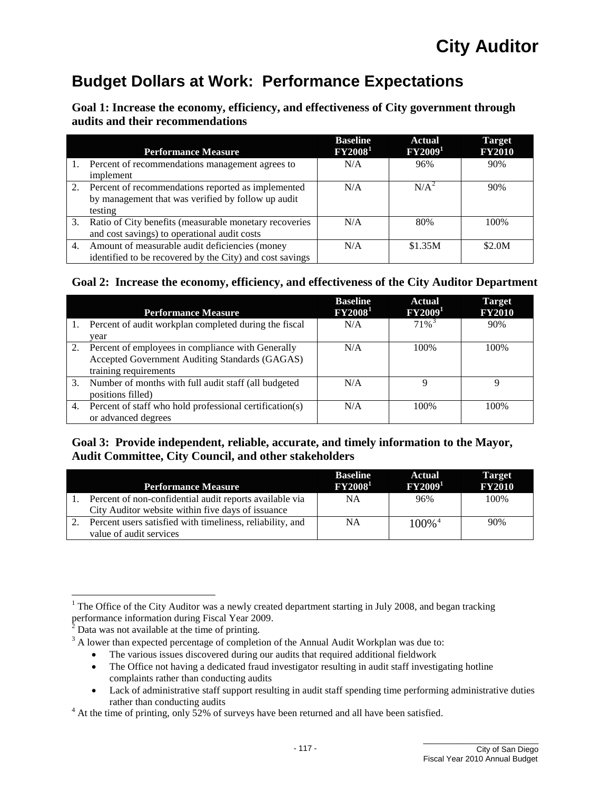## **Budget Dollars at Work: Performance Expectations**

**Goal 1: Increase the economy, efficiency, and effectiveness of City government through audits and their recommendations** 

|    | <b>Performance Measure</b>                                                                                          | <b>Baseline</b><br>$\rm FY2008^1$ | <b>Actual</b><br>$\rm FY2009^1$ | <b>Target</b><br><b>FY2010</b> |
|----|---------------------------------------------------------------------------------------------------------------------|-----------------------------------|---------------------------------|--------------------------------|
|    | Percent of recommendations management agrees to<br>implement                                                        | N/A                               | 96%                             | 90%                            |
| 2. | Percent of recommendations reported as implemented<br>by management that was verified by follow up audit<br>testing | N/A                               | $N/A^2$                         | 90%                            |
|    | 3. Ratio of City benefits (measurable monetary recoveries<br>and cost savings) to operational audit costs           | N/A                               | 80%                             | 100%                           |
| 4. | Amount of measurable audit deficiencies (money<br>identified to be recovered by the City) and cost savings          | N/A                               | \$1.35M                         | \$2.0M                         |

#### **Goal 2: Increase the economy, efficiency, and effectiveness of the City Auditor Department**

|    | <b>Performance Measure</b>                              | <b>Baseline</b><br>$\textbf{F} \textbf{Y} \textbf{2008}^1$ | <b>Actual</b><br>FY2009 <sup>1</sup> | <b>Target</b><br><b>FY2010</b> |
|----|---------------------------------------------------------|------------------------------------------------------------|--------------------------------------|--------------------------------|
| 1. | Percent of audit workplan completed during the fiscal   | N/A                                                        | $71\%$ <sup>3</sup>                  | 90%                            |
|    | vear                                                    |                                                            |                                      |                                |
| 2. | Percent of employees in compliance with Generally       | N/A                                                        | 100\%                                | 100\%                          |
|    | Accepted Government Auditing Standards (GAGAS)          |                                                            |                                      |                                |
|    | training requirements                                   |                                                            |                                      |                                |
| 3. | Number of months with full audit staff (all budgeted    | N/A                                                        |                                      |                                |
|    | positions filled)                                       |                                                            |                                      |                                |
| 4. | Percent of staff who hold professional certification(s) | N/A                                                        | 100%                                 | 100%                           |
|    | or advanced degrees                                     |                                                            |                                      |                                |

### **Goal 3: Provide independent, reliable, accurate, and timely information to the Mayor, Audit Committee, City Council, and other stakeholders**

|    | <b>Performance Measure</b>                                                                                   | <b>Baseline</b><br>$\rm FY2008^1$ | Actual<br>$\rm FY2009^1$ | <b>Target</b><br><b>FY2010</b> |
|----|--------------------------------------------------------------------------------------------------------------|-----------------------------------|--------------------------|--------------------------------|
|    | Percent of non-confidential audit reports available via<br>City Auditor website within five days of issuance | NΑ                                | 96%                      | 100%                           |
| 2. | Percent users satisfied with timeliness, reliability, and<br>value of audit services                         | NΑ                                | $100\%$ <sup>4</sup>     | 90%                            |

<span id="page-2-0"></span> $\overline{a}$ <sup>1</sup> The Office of the City Auditor was a newly created department starting in July 2008, and began tracking performance information during Fiscal Year 2009.

<span id="page-2-3"></span><span id="page-2-2"></span><span id="page-2-1"></span>

<sup>&</sup>lt;sup>2</sup> Data was not available at the time of printing.<br><sup>3</sup> A lower than expected percentage of completion of the Annual Audit Workplan was due to:

 •The various issues discovered during our audits that required additional fieldwork

<sup>•</sup> The Office not having a dedicated fraud investigator resulting in audit staff investigating hotline complaints rather than conducting audits audits

 •Lack of administrative staff support resulting in audit staff spending time performing administrative duties rather than conducting audits  $\bullet$ 

<span id="page-2-4"></span> $4$  At the time of printing, only 52% of surveys have been returned and all have been satisfied.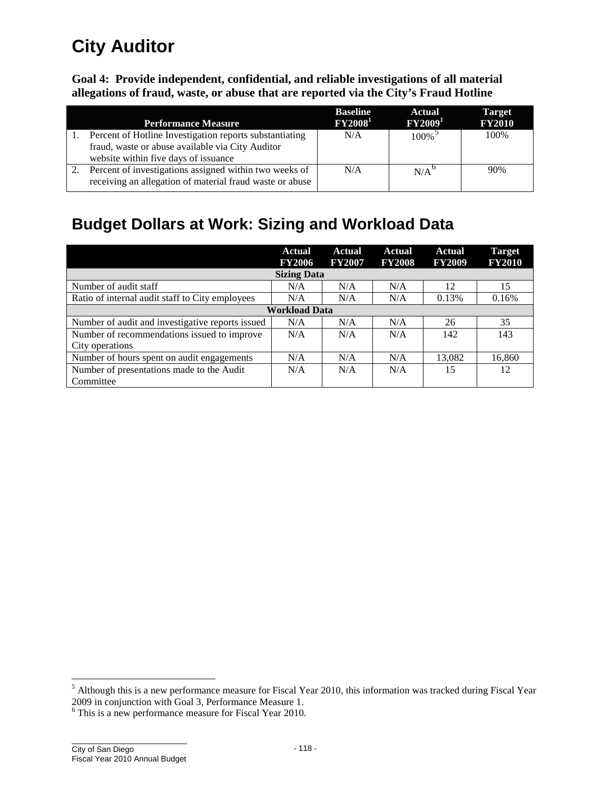**Goal 4: Provide independent, confidential, and reliable investigations of all material allegations of fraud, waste, or abuse that are reported via the City's Fraud Hotline** 

| <b>Performance Measure</b>                                                                                                                          | <b>Baseline</b><br>$\rm FY2008^1$ | <b>Actual</b><br>$\rm FY2009^1$ | <b>Target</b><br><b>FY2010</b> |
|-----------------------------------------------------------------------------------------------------------------------------------------------------|-----------------------------------|---------------------------------|--------------------------------|
| Percent of Hotline Investigation reports substantiating<br>fraud, waste or abuse available via City Auditor<br>website within five days of issuance | N/A                               | $100\%$ <sup>5</sup>            | 100\%                          |
| Percent of investigations assigned within two weeks of<br>receiving an allegation of material fraud waste or abuse                                  | N/A                               | N/A <sup>o</sup>                | 90%                            |

## **Budget Dollars at Work: Sizing and Workload Data**

|                                                  | Actual<br><b>FY2006</b> | Actual<br><b>FY2007</b> | Actual<br><b>FY2008</b> | <b>Actual</b><br><b>FY2009</b> | Target<br><b>FY2010</b> |
|--------------------------------------------------|-------------------------|-------------------------|-------------------------|--------------------------------|-------------------------|
|                                                  | <b>Sizing Data</b>      |                         |                         |                                |                         |
| Number of audit staff                            | N/A                     | N/A                     | N/A                     | 12                             | 15                      |
| Ratio of internal audit staff to City employees  | N/A                     | N/A                     | N/A                     | 0.13%                          | 0.16%                   |
|                                                  | <b>Workload Data</b>    |                         |                         |                                |                         |
| Number of audit and investigative reports issued | N/A                     | N/A                     | N/A                     | 26                             | 35                      |
| Number of recommendations issued to improve      | N/A                     | N/A                     | N/A                     | 142                            | 143                     |
| City operations                                  |                         |                         |                         |                                |                         |
| Number of hours spent on audit engagements       | N/A                     | N/A                     | N/A                     | 13,082                         | 16,860                  |
| Number of presentations made to the Audit        | N/A                     | N/A                     | N/A                     | 15                             | 12                      |
| Committee                                        |                         |                         |                         |                                |                         |

 $\overline{a}$ 

<span id="page-3-0"></span><sup>&</sup>lt;sup>5</sup> Although this is a new performance measure for Fiscal Year 2010, this information was tracked during Fiscal Year 2009 in conjunction with Goal 3, Performance Measure 1.<br><sup>6</sup> This is a new performance measure for Fiscal

<span id="page-3-1"></span> $6$  This is a new performance measure for Fiscal Year 2010.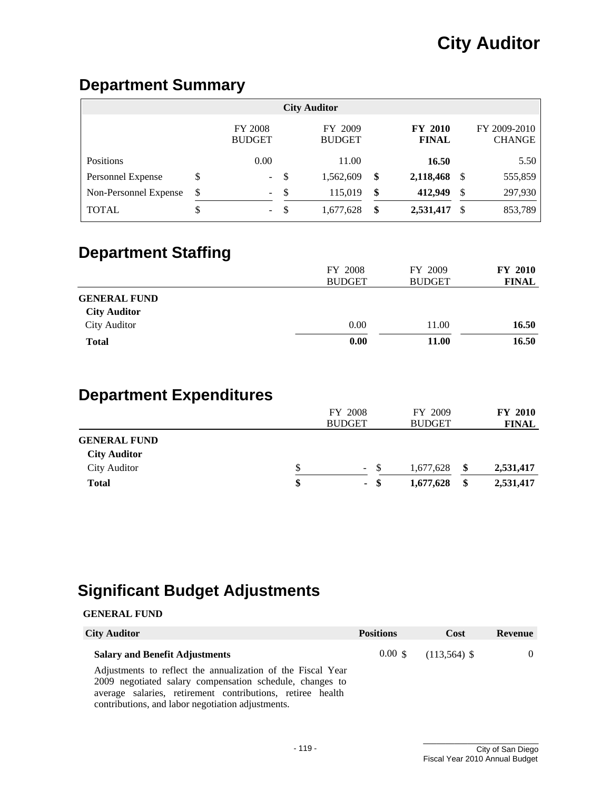## **Department Summary**

| <b>City Auditor</b>   |    |                                 |     |                          |    |                                |               |                               |  |  |
|-----------------------|----|---------------------------------|-----|--------------------------|----|--------------------------------|---------------|-------------------------------|--|--|
|                       |    | <b>FY 2008</b><br><b>BUDGET</b> |     | FY 2009<br><b>BUDGET</b> |    | <b>FY 2010</b><br><b>FINAL</b> |               | FY 2009-2010<br><b>CHANGE</b> |  |  |
| Positions             |    | 0.00                            |     | 11.00                    |    | 16.50                          |               | 5.50                          |  |  |
| Personnel Expense     | \$ | $\sim$                          | -\$ | 1,562,609                | \$ | 2,118,468                      | -S            | 555,859                       |  |  |
| Non-Personnel Expense | \$ | $\sim$                          | -\$ | 115,019                  | \$ | 412,949                        | $\mathcal{S}$ | 297,930                       |  |  |
| <b>TOTAL</b>          | \$ | $\sim$                          | -\$ | 1,677,628                | \$ | 2,531,417                      | S.            | 853,789                       |  |  |

## **Department Staffing**

|                                            | FY 2008<br><b>BUDGET</b> | FY 2009<br><b>BUDGET</b> | <b>FY 2010</b><br><b>FINAL</b> |
|--------------------------------------------|--------------------------|--------------------------|--------------------------------|
| <b>GENERAL FUND</b><br><b>City Auditor</b> |                          |                          |                                |
| <b>City Auditor</b>                        | 0.00                     | 11.00                    | 16.50                          |
| <b>Total</b>                               | 0.00                     | 11.00                    | 16.50                          |

## **Department Expenditures**

|                                            | FY 2008       |      |               |     | <b>FY 2010</b> |  |  |
|--------------------------------------------|---------------|------|---------------|-----|----------------|--|--|
|                                            | <b>BUDGET</b> |      | <b>BUDGET</b> |     | <b>FINAL</b>   |  |  |
| <b>GENERAL FUND</b><br><b>City Auditor</b> |               |      |               |     |                |  |  |
| <b>City Auditor</b>                        | \$<br>$\sim$  | -S   | 1,677,628     | -S  | 2,531,417      |  |  |
| <b>Total</b>                               | \$            | - \$ | 1,677,628     | -SS | 2,531,417      |  |  |

## **Significant Budget Adjustments**

#### **GENERAL FUND**

| <b>City Auditor</b>                                         | <b>Positions</b> | Cost                                      | Revenue |
|-------------------------------------------------------------|------------------|-------------------------------------------|---------|
| <b>Salary and Benefit Adjustments</b>                       |                  | $0.00\text{ \$\ } (113,564) \text{ \$\ }$ |         |
| Adjustments to reflect the ennualization of the Fiscal Veer |                  |                                           |         |

Adjustments to reflect the annualization of the Fiscal Year 2009 negotiated salary compensation schedule, changes to average salaries, retirement contributions, retiree health contributions, and labor negotiation adjustments.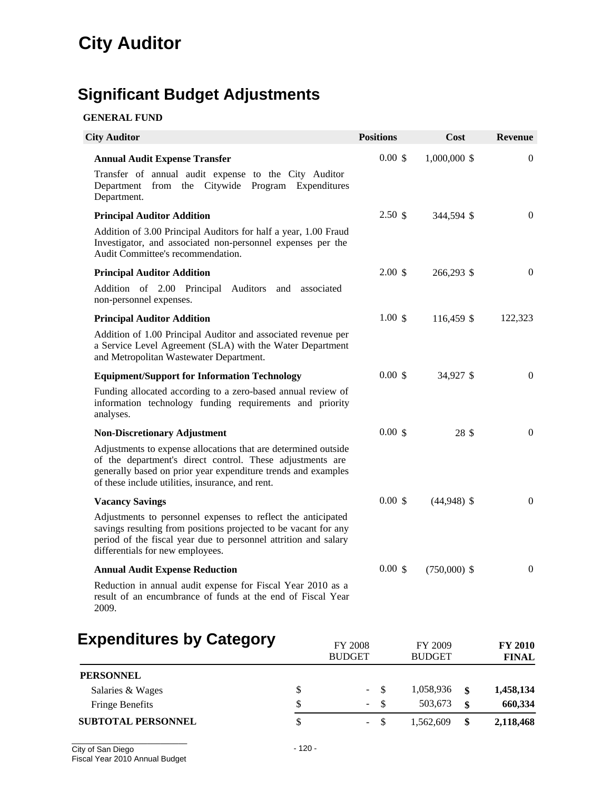# **Significant Budget Adjustments**

### **GENERAL FUND**

| <b>City Auditor</b>                                                                                                                                                                                                                              |                          | <b>Positions</b>   | <b>Cost</b>              | <b>Revenue</b>                 |
|--------------------------------------------------------------------------------------------------------------------------------------------------------------------------------------------------------------------------------------------------|--------------------------|--------------------|--------------------------|--------------------------------|
| <b>Annual Audit Expense Transfer</b><br>Transfer of annual audit expense to the City Auditor<br>Department from the Citywide Program Expenditures<br>Department.                                                                                 |                          | 0.00~\$            | 1,000,000 \$             | $\mathbf{0}$                   |
| <b>Principal Auditor Addition</b>                                                                                                                                                                                                                |                          | 2.50 <sub>3</sub>  | 344,594 \$               | $\theta$                       |
| Addition of 3.00 Principal Auditors for half a year, 1.00 Fraud<br>Investigator, and associated non-personnel expenses per the<br>Audit Committee's recommendation.                                                                              |                          |                    |                          |                                |
| <b>Principal Auditor Addition</b>                                                                                                                                                                                                                |                          | $2.00 \text{ }$ \$ | 266,293 \$               | $\mathbf{0}$                   |
| Addition of 2.00 Principal Auditors and associated<br>non-personnel expenses.                                                                                                                                                                    |                          |                    |                          |                                |
| <b>Principal Auditor Addition</b>                                                                                                                                                                                                                |                          | $1.00 \text{ s}$   | 116,459 \$               | 122,323                        |
| Addition of 1.00 Principal Auditor and associated revenue per<br>a Service Level Agreement (SLA) with the Water Department<br>and Metropolitan Wastewater Department.                                                                            |                          |                    |                          |                                |
| <b>Equipment/Support for Information Technology</b>                                                                                                                                                                                              |                          | 0.00~\$            | 34,927 \$                | $\mathbf{0}$                   |
| Funding allocated according to a zero-based annual review of<br>information technology funding requirements and priority<br>analyses.                                                                                                            |                          |                    |                          |                                |
| <b>Non-Discretionary Adjustment</b>                                                                                                                                                                                                              |                          | 0.00~\$            | 28 \$                    | $\mathbf{0}$                   |
| Adjustments to expense allocations that are determined outside<br>of the department's direct control. These adjustments are<br>generally based on prior year expenditure trends and examples<br>of these include utilities, insurance, and rent. |                          |                    |                          |                                |
| <b>Vacancy Savings</b>                                                                                                                                                                                                                           |                          | 0.00~\$            | $(44,948)$ \$            | $\mathbf{0}$                   |
| Adjustments to personnel expenses to reflect the anticipated<br>savings resulting from positions projected to be vacant for any<br>period of the fiscal year due to personnel attrition and salary<br>differentials for new employees.           |                          |                    |                          |                                |
| <b>Annual Audit Expense Reduction</b>                                                                                                                                                                                                            |                          | 0.00~\$            | $(750,000)$ \$           | $\boldsymbol{0}$               |
| Reduction in annual audit expense for Fiscal Year 2010 as a<br>result of an encumbrance of funds at the end of Fiscal Year<br>2009.                                                                                                              |                          |                    |                          |                                |
| <b>Expenditures by Category</b>                                                                                                                                                                                                                  | FY 2008<br><b>BUDGET</b> |                    | FY 2009<br><b>BUDGET</b> | <b>FY 2010</b><br><b>FINAL</b> |
| <b>PERSONNEL</b>                                                                                                                                                                                                                                 |                          |                    |                          |                                |
| Salaries & Wages                                                                                                                                                                                                                                 | \$                       | \$                 | 1,058,936<br>\$          | 1,458,134                      |
| <b>Fringe Benefits</b>                                                                                                                                                                                                                           | \$                       | \$                 | 503,673<br>\$            | 660,334                        |

**SUBTOTAL PERSONNEL** \$ - \$ 1,562,609 **\$ 2,118,468**

2,118,468